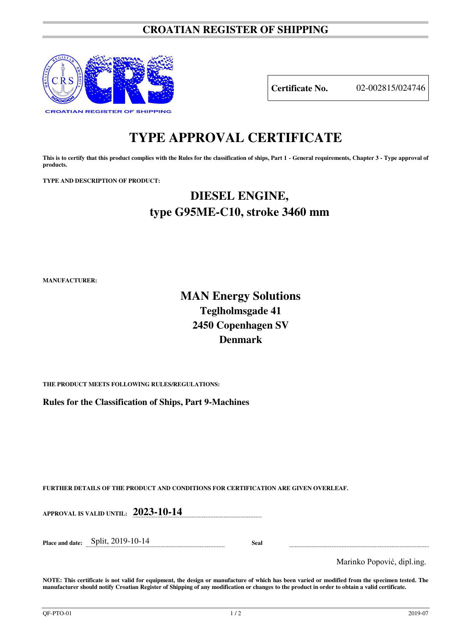### **CROATIAN REGISTER OF SHIPPING**



**Certificate No.** 02-002815/024746

# **TYPE APPROVAL CERTIFICATE**

This is to certify that this product complies with the Rules for the classification of ships, Part 1 - General requirements, Chapter 3 - Type approval of **products.** 

**TYPE AND DESCRIPTION OF PRODUCT:** 

## **DIESEL ENGINE, type G95ME-C10, stroke 3460 mm**

**MANUFACTURER:**

### **MAN Energy Solutions Teglholmsgade 41 2450 Copenhagen SV Denmark**

**THE PRODUCT MEETS FOLLOWING RULES/REGULATIONS:**

**Rules for the Classification of Ships, Part 9-Machines**

**FURTHER DETAILS OF THE PRODUCT AND CONDITIONS FOR CERTIFICATION ARE GIVEN OVERLEAF.**

**APPROVAL IS VALID UNTIL: 2023-10-14**

**Place and date:** Split, 2019-10-14 **Seal** 

Marinko Popović, dipl.ing.

**NOTE: This certificate is not valid for equipment, the design or manufacture of which has been varied or modified from the specimen tested. The manufacturer should notify Croatian Register of Shipping of any modification or changes to the product in order to obtain a valid certificate.**